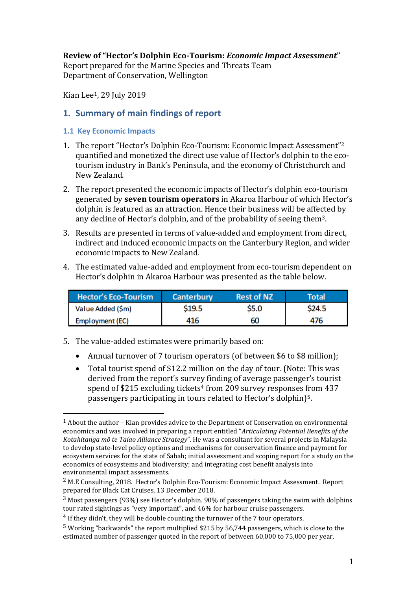### **Review of "Hector's Dolphin Eco-Tourism:** *Economic Impact Assessment***"**

Report prepared for the Marine Species and Threats Team Department of Conservation, Wellington

Kian Lee1, 29 July 2019

## **1. Summary of main findings of report**

#### **1.1 Key Economic Impacts**

 $\overline{\phantom{a}}$ 

- 1. The report "Hector's Dolphin Eco-Tourism: Economic Impact Assessment" 2 quantified and monetized the direct use value of Hector's dolphin to the ecotourism industry in Bank's Peninsula, and the economy of Christchurch and New Zealand.
- 2. The report presented the economic impacts of Hector's dolphin eco-tourism generated by **seven tourism operators** in Akaroa Harbour of which Hector's dolphin is featured as an attraction. Hence their business will be affected by any decline of Hector's dolphin, and of the probability of seeing them3.
- 3. Results are presented in terms of value-added and employment from direct, indirect and induced economic impacts on the Canterbury Region, and wider economic impacts to New Zealand.
- 4. The estimated value-added and employment from eco-tourism dependent on Hector's dolphin in Akaroa Harbour was presented as the table below.

| <b>Hector's Eco-Tourism</b> | Canterbury | <b>Rest of NZ</b> | Total  |
|-----------------------------|------------|-------------------|--------|
| Value Added (\$m)           | \$19.5     | \$5.0             | \$24.5 |
| Employment (EC)             | 416        | 60                | 476    |

- 5. The value-added estimates were primarily based on:
	- Annual turnover of 7 tourism operators (of between \$6 to \$8 million);
	- Total tourist spend of \$12.2 million on the day of tour. (Note: This was derived from the report's survey finding of average passenger's tourist spend of \$215 excluding tickets<sup>4</sup> from 209 survey responses from 437 passengers participating in tours related to Hector's dolphin)<sup>5</sup>.

<sup>1</sup> About the author – Kian provides advice to the Department of Conservation on environmental economics and was involved in preparing a report entitled "*Articulating Potential Benefits of the Kotahitanga mō te Taiao Alliance Strategy*". He was a consultant for several projects in Malaysia to develop state-level policy options and mechanisms for conservation finance and payment for ecosystem services for the state of Sabah; initial assessment and scoping report for a study on the economics of ecosystems and biodiversity; and integrating cost benefit analysis into environmental impact assessments.

<sup>2</sup> M.E Consulting, 2018. Hector's Dolphin Eco-Tourism: Economic Impact Assessment. Report prepared for Black Cat Cruises, 13 December 2018.

 $3$  Most passengers (93%) see Hector's dolphin. 90% of passengers taking the swim with dolphins tour rated sightings as "very important", and 46% for harbour cruise passengers.

<sup>4</sup> If they didn't, they will be double counting the turnover of the 7 tour operators.

<sup>5</sup> Working "backwards" the report multiplied \$215 by 56,744 passengers, which is close to the estimated number of passenger quoted in the report of between 60,000 to 75,000 per year.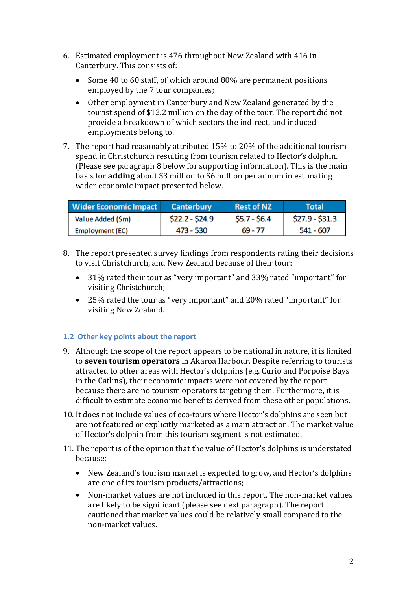- 6. Estimated employment is 476 throughout New Zealand with 416 in Canterbury. This consists of:
	- Some 40 to 60 staff, of which around 80% are permanent positions employed by the 7 tour companies;
	- Other employment in Canterbury and New Zealand generated by the tourist spend of \$12.2 million on the day of the tour. The report did not provide a breakdown of which sectors the indirect, and induced employments belong to.
- 7. The report had reasonably attributed 15% to 20% of the additional tourism spend in Christchurch resulting from tourism related to Hector's dolphin. (Please see paragraph 8 below for supporting information). This is the main basis for **adding** about \$3 million to \$6 million per annum in estimating wider economic impact presented below.

| Wider Economic Impact | <b>Canterbury</b> | <b>Rest of NZ</b> | Total           |
|-----------------------|-------------------|-------------------|-----------------|
| Value Added (\$m)     | $$22.2 - $24.9$   | $$5.7 - $6.4$$    | $$27.9 - $31.3$ |
| Employment (EC)       | 473 - 530         | 69 - 77           | 541 - 607       |

- 8. The report presented survey findings from respondents rating their decisions to visit Christchurch, and New Zealand because of their tour:
	- 31% rated their tour as "very important" and 33% rated "important" for visiting Christchurch;
	- 25% rated the tour as "very important" and 20% rated "important" for visiting New Zealand.

### **1.2 Other key points about the report**

- 9. Although the scope of the report appears to be national in nature, it is limited to **seven tourism operators** in Akaroa Harbour. Despite referring to tourists attracted to other areas with Hector's dolphins (e.g. Curio and Porpoise Bays in the Catlins), their economic impacts were not covered by the report because there are no tourism operators targeting them. Furthermore, it is difficult to estimate economic benefits derived from these other populations.
- 10. It does not include values of eco-tours where Hector's dolphins are seen but are not featured or explicitly marketed as a main attraction. The market value of Hector's dolphin from this tourism segment is not estimated.
- 11. The report is of the opinion that the value of Hector's dolphins is understated because:
	- New Zealand's tourism market is expected to grow, and Hector's dolphins are one of its tourism products/attractions;
	- Non-market values are not included in this report. The non-market values are likely to be significant (please see next paragraph). The report cautioned that market values could be relatively small compared to the non-market values.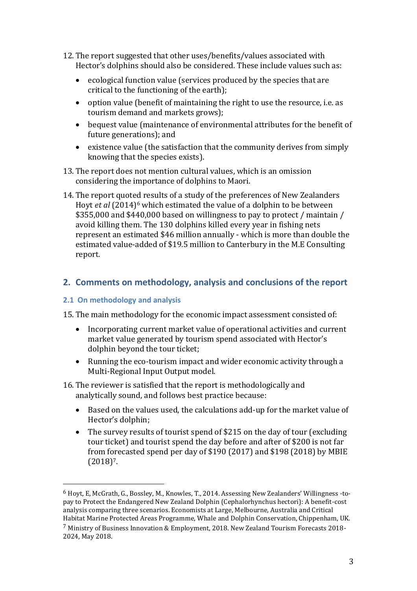- 12. The report suggested that other uses/benefits/values associated with Hector's dolphins should also be considered. These include values such as:
	- ecological function value (services produced by the species that are critical to the functioning of the earth);
	- option value (benefit of maintaining the right to use the resource, i.e. as tourism demand and markets grows);
	- bequest value (maintenance of environmental attributes for the benefit of future generations); and
	- existence value (the satisfaction that the community derives from simply knowing that the species exists).
- 13. The report does not mention cultural values, which is an omission considering the importance of dolphins to Maori.
- 14. The report quoted results of a study of the preferences of New Zealanders Hoyt *et al* (2014)<sup>6</sup> which estimated the value of a dolphin to be between \$355,000 and \$440,000 based on willingness to pay to protect / maintain / avoid killing them. The 130 dolphins killed every year in fishing nets represent an estimated \$46 million annually - which is more than double the estimated value-added of \$19.5 million to Canterbury in the M.E Consulting report.

# **2. Comments on methodology, analysis and conclusions of the report**

#### **2.1 On methodology and analysis**

 $\overline{\phantom{a}}$ 

15. The main methodology for the economic impact assessment consisted of:

- Incorporating current market value of operational activities and current market value generated by tourism spend associated with Hector's dolphin beyond the tour ticket;
- Running the eco-tourism impact and wider economic activity through a Multi-Regional Input Output model.
- 16. The reviewer is satisfied that the report is methodologically and analytically sound, and follows best practice because:
	- Based on the values used, the calculations add-up for the market value of Hector's dolphin;
	- The survey results of tourist spend of \$215 on the day of tour (excluding tour ticket) and tourist spend the day before and after of \$200 is not far from forecasted spend per day of \$190 (2017) and \$198 (2018) by MBIE  $(2018)^7$ .

<sup>6</sup> Hoyt, E, McGrath, G., Bossley, M., Knowles, T., 2014. Assessing New Zealanders' Willingness -topay to Protect the Endangered New Zealand Dolphin (Cephalorhynchus hectori): A benefit-cost analysis comparing three scenarios. Economists at Large, Melbourne, Australia and Critical Habitat Marine Protected Areas Programme, Whale and Dolphin Conservation, Chippenham, UK.

<sup>7</sup> Ministry of Business Innovation & Employment, 2018. New Zealand Tourism Forecasts 2018- 2024, May 2018.